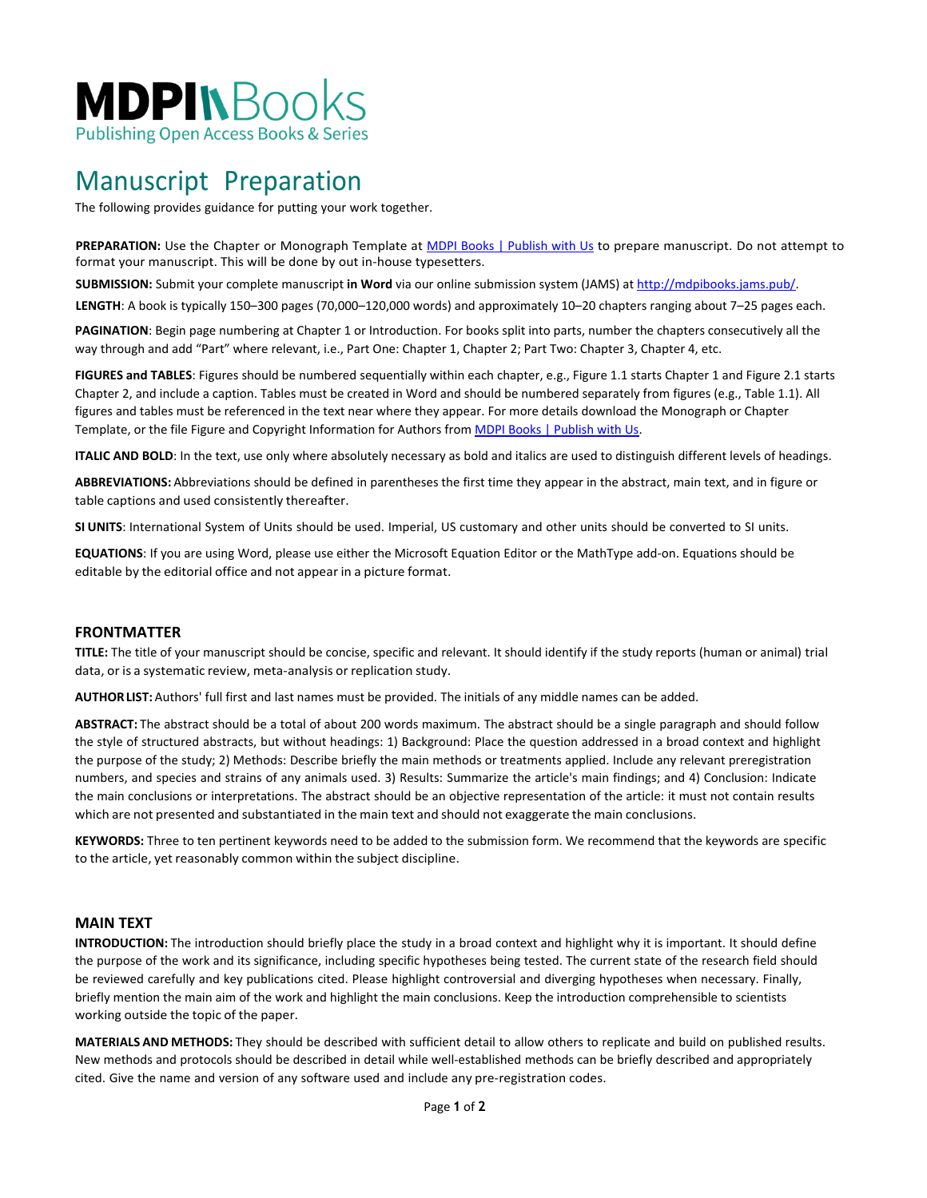

### Manuscript Preparation

The following provides guidance for putting your work together.

PREPARATION: Use the Chapter or Monograph Template at [MDPI Books | Publish with Us](https://www.mdpi.com/books/publish_with_us) to prepare manuscript. Do not attempt to format your manuscript. This will be done by out in-house typesetters.

**SUBMISSION:** Submit your complete manuscript **in Word** via our online submission system (JAMS) at [http://mdpibooks.jams.pub/.](http://mdpibooks.jams.pub/)

**LENGTH**: A book is typically 150–300 pages (70,000–120,000 words) and approximately 10–20 chapters ranging about 7–25 pages each.

**PAGINATION**: Begin page numbering at Chapter 1 or Introduction. For books split into parts, number the chapters consecutively all the way through and add "Part" where relevant, i.e., Part One: Chapter 1, Chapter 2; Part Two: Chapter 3, Chapter 4, etc.

**FIGURES and TABLES**: Figures should be numbered sequentially within each chapter, e.g., Figure 1.1 starts Chapter 1 and Figure 2.1 starts Chapter 2, and include a caption. Tables must be created in Word and should be numbered separately from figures (e.g., Table 1.1). All figures and tables must be referenced in the text near where they appear. For more details download the Monograph or Chapter Template, or the file Figure and Copyright Information for Authors fro[m MDPI Books | Publish with Us.](https://www.mdpi.com/books/publish_with_us)

**ITALIC AND BOLD**: In the text, use only where absolutely necessary as bold and italics are used to distinguish different levels of headings.

**ABBREVIATIONS:** Abbreviations should be defined in parentheses the first time they appear in the abstract, main text, and in figure or table captions and used consistently thereafter.

**SI UNITS**: International System of Units should be used. Imperial, US customary and other units should be converted to SI units.

**EQUATIONS**: If you are using Word, please use either the Microsoft Equation Editor or the MathType add-on. Equations should be editable by the editorial office and not appear in a picture format.

#### **FRONTMATTER**

**TITLE:** The title of your manuscript should be concise, specific and relevant. It should identify if the study reports (human or animal) trial data, or is a systematic review, meta-analysis or replication study.

**AUTHORLIST:** Authors' full first and last names must be provided. The initials of any middle names can be added.

**ABSTRACT:** The abstract should be a total of about 200 words maximum. The abstract should be a single paragraph and should follow the style of structured abstracts, but without headings: 1) Background: Place the question addressed in a broad context and highlight the purpose of the study; 2) Methods: Describe briefly the main methods or treatments applied. Include any relevant preregistration numbers, and species and strains of any animals used. 3) Results: Summarize the article's main findings; and 4) Conclusion: Indicate the main conclusions or interpretations. The abstract should be an objective representation of the article: it must not contain results which are not presented and substantiated in the main text and should not exaggerate the main conclusions.

**KEYWORDS:** Three to ten pertinent keywords need to be added to the submission form. We recommend that the keywords are specific to the article, yet reasonably common within the subject discipline.

#### **MAIN TEXT**

**INTRODUCTION:** The introduction should briefly place the study in a broad context and highlight why it is important. It should define the purpose of the work and its significance, including specific hypotheses being tested. The current state of the research field should be reviewed carefully and key publications cited. Please highlight controversial and diverging hypotheses when necessary. Finally, briefly mention the main aim of the work and highlight the main conclusions. Keep the introduction comprehensible to scientists working outside the topic of the paper.

**MATERIALS AND METHODS:** They should be described with sufficient detail to allow others to replicate and build on published results. New methods and protocols should be described in detail while well-established methods can be briefly described and appropriately cited. Give the name and version of any software used and include any pre-registration codes.